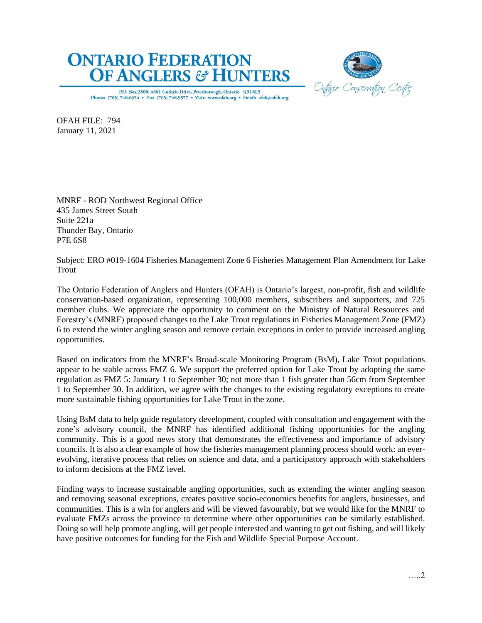## **ONTARIO FEDERATION OF ANGLERS & HUNTERS**



P.O. Box 2800, 4601 Guthrie Drive, Peterborough, Ontario K9J 8L5 Phone: (705) 748.6324 . Fax: (705) 748.9577 . Visit: www.ofah.org . Email: ofah@ofah.org

OFAH FILE: 794 January 11, 2021

MNRF - ROD Northwest Regional Office 435 James Street South Suite 221a Thunder Bay, Ontario P7E 6S8

Subject: ERO #019-1604 Fisheries Management Zone 6 Fisheries Management Plan Amendment for Lake Trout

The Ontario Federation of Anglers and Hunters (OFAH) is Ontario's largest, non-profit, fish and wildlife conservation-based organization, representing 100,000 members, subscribers and supporters, and 725 member clubs. We appreciate the opportunity to comment on the Ministry of Natural Resources and Forestry's (MNRF) proposed changes to the Lake Trout regulations in Fisheries Management Zone (FMZ) 6 to extend the winter angling season and remove certain exceptions in order to provide increased angling opportunities.

Based on indicators from the MNRF's Broad-scale Monitoring Program (BsM), Lake Trout populations appear to be stable across FMZ 6. We support the preferred option for Lake Trout by adopting the same regulation as FMZ 5: January 1 to September 30; not more than 1 fish greater than 56cm from September 1 to September 30. In addition, we agree with the changes to the existing regulatory exceptions to create more sustainable fishing opportunities for Lake Trout in the zone.

Using BsM data to help guide regulatory development, coupled with consultation and engagement with the zone's advisory council, the MNRF has identified additional fishing opportunities for the angling community. This is a good news story that demonstrates the effectiveness and importance of advisory councils. It is also a clear example of how the fisheries management planning process should work: an everevolving, iterative process that relies on science and data, and a participatory approach with stakeholders to inform decisions at the FMZ level.

Finding ways to increase sustainable angling opportunities, such as extending the winter angling season and removing seasonal exceptions, creates positive socio-economics benefits for anglers, businesses, and communities. This is a win for anglers and will be viewed favourably, but we would like for the MNRF to evaluate FMZs across the province to determine where other opportunities can be similarly established. Doing so will help promote angling, will get people interested and wanting to get out fishing, and will likely have positive outcomes for funding for the Fish and Wildlife Special Purpose Account.